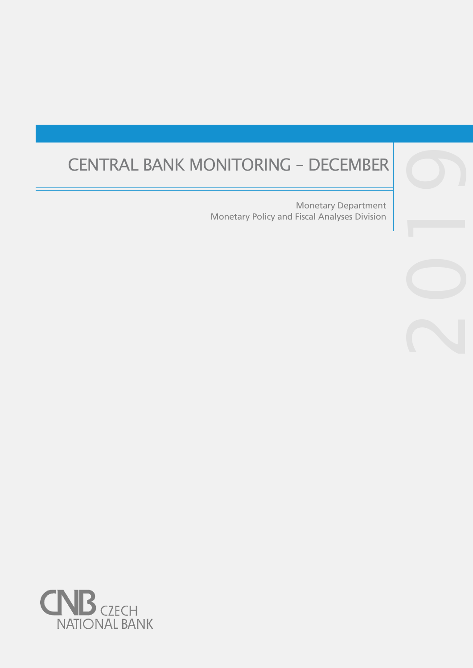# CENTRAL BANK MONITORING – DECEMBER

Monetary Policy and Fiscal Analyses Division Monetary Department

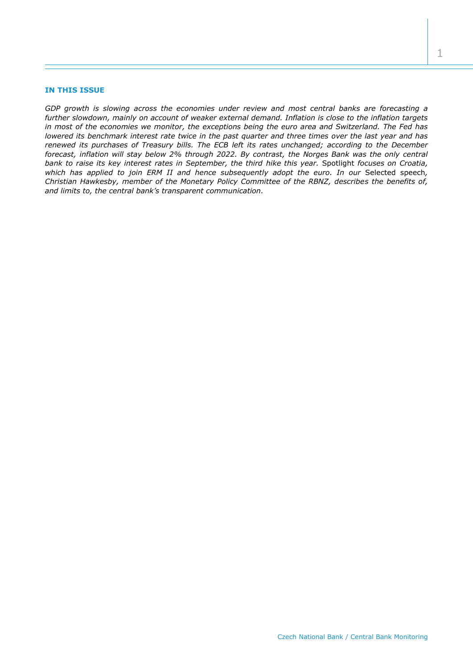## **IN THIS ISSUE**

*GDP growth is slowing across the economies under review and most central banks are forecasting a further slowdown, mainly on account of weaker external demand. Inflation is close to the inflation targets in most of the economies we monitor, the exceptions being the euro area and Switzerland. The Fed has lowered its benchmark interest rate twice in the past quarter and three times over the last year and has renewed its purchases of Treasury bills. The ECB left its rates unchanged; according to the December forecast, inflation will stay below 2% through 2022. By contrast, the Norges Bank was the only central bank to raise its key interest rates in September, the third hike this year.* Spotlight *focuses on Croatia, which has applied to join ERM II and hence subsequently adopt the euro. In our* Selected speech*, Christian Hawkesby, member of the Monetary Policy Committee of the RBNZ, describes the benefits of, and limits to, the central bank's transparent communication.*

1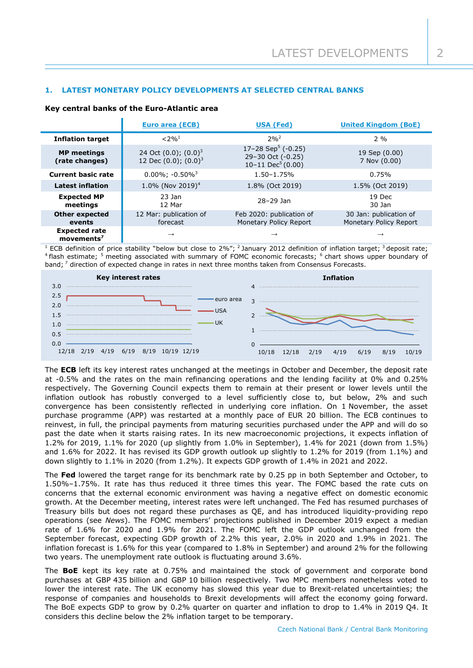# **1. LATEST MONETARY POLICY DEVELOPMENTS AT SELECTED CENTRAL BANKS**

|                                                | <b>Euro area (ECB)</b>                                   | <b>USA (Fed)</b>                                                                       | <b>United Kingdom (BoE)</b>                      |
|------------------------------------------------|----------------------------------------------------------|----------------------------------------------------------------------------------------|--------------------------------------------------|
| <b>Inflation target</b>                        | $< 2\%$ <sup>1</sup>                                     | $2%^{2}$                                                                               | 2 %                                              |
| <b>MP</b> meetings<br>(rate changes)           | 24 Oct $(0.0)$ ; $(0.0)^3$<br>12 Dec $(0.0)$ ; $(0.0)^3$ | 17–28 Sep <sup>5</sup> (-0.25)<br>29-30 Oct (-0.25)<br>$10-11$ Dec <sup>5</sup> (0.00) | 19 Sep (0.00)<br>7 Nov (0.00)                    |
| <b>Current basic rate</b>                      | $0.00\%$ ; $-0.50\%$ <sup>3</sup>                        | $1.50 - 1.75%$                                                                         | 0.75%                                            |
| <b>Latest inflation</b>                        | 1.0% (Nov 2019) <sup>4</sup>                             | 1.8% (Oct 2019)                                                                        | 1.5% (Oct 2019)                                  |
| <b>Expected MP</b><br>meetings                 | $23$ Jan<br>12 Mar                                       | 28-29 Jan                                                                              | 19 Dec<br>30 Jan                                 |
| <b>Other expected</b><br>events                | 12 Mar: publication of<br>forecast                       | Feb 2020: publication of<br>Monetary Policy Report                                     | 30 Jan: publication of<br>Monetary Policy Report |
| <b>Expected rate</b><br>movements <sup>7</sup> | $\rightarrow$                                            | $\rightarrow$                                                                          | $\rightarrow$                                    |

## **Key central banks of the Euro-Atlantic area**

<sup>1</sup> ECB definition of price stability "below but close to 2%"; <sup>2</sup> January 2012 definition of inflation target; <sup>3</sup> deposit rate; <sup>4</sup> flash estimate; <sup>5</sup> meeting associated with summary of FOMC economic forecasts; <sup>6</sup> chart shows upper boundary of band; <sup>7</sup> direction of expected change in rates in next three months taken from Consensus Forecasts.



The **ECB** left its key interest rates unchanged at the meetings in October and December, the deposit rate at -0.5% and the rates on the main refinancing operations and the lending facility at 0% and 0.25% respectively. The Governing Council expects them to remain at their present or lower levels until the inflation outlook has robustly converged to a level sufficiently close to, but below, 2% and such convergence has been consistently reflected in underlying core inflation. On 1 November, the asset purchase programme (APP) was restarted at a monthly pace of EUR 20 billion. The ECB continues to reinvest, in full, the principal payments from maturing securities purchased under the APP and will do so past the date when it starts raising rates. In its new macroeconomic projections, it expects inflation of 1.2% for 2019, 1.1% for 2020 (up slightly from 1.0% in September), 1.4% for 2021 (down from 1.5%) and 1.6% for 2022. It has revised its GDP growth outlook up slightly to 1.2% for 2019 (from 1.1%) and down slightly to 1.1% in 2020 (from 1.2%). It expects GDP growth of 1.4% in 2021 and 2022.

The **Fed** lowered the target range for its benchmark rate by 0.25 pp in both September and October, to 1.50%–1.75%. It rate has thus reduced it three times this year. The FOMC based the rate cuts on concerns that the external economic environment was having a negative effect on domestic economic growth. At the December meeting, interest rates were left unchanged. The Fed has resumed purchases of Treasury bills but does not regard these purchases as QE, and has introduced liquidity-providing repo operations (see *News*). The FOMC members' projections published in December 2019 expect a median rate of 1.6% for 2020 and 1.9% for 2021. The FOMC left the GDP outlook unchanged from the September forecast, expecting GDP growth of 2.2% this year, 2.0% in 2020 and 1.9% in 2021. The inflation forecast is 1.6% for this year (compared to 1.8% in September) and around 2% for the following two years. The unemployment rate outlook is fluctuating around 3.6%.

The **BoE** kept its key rate at 0.75% and maintained the stock of government and corporate bond purchases at GBP 435 billion and GBP 10 billion respectively. Two MPC members nonetheless voted to lower the interest rate. The UK economy has slowed this year due to Brexit-related uncertainties; the response of companies and households to Brexit developments will affect the economy going forward. The BoE expects GDP to grow by 0.2% quarter on quarter and inflation to drop to 1.4% in 2019 Q4. It considers this decline below the 2% inflation target to be temporary.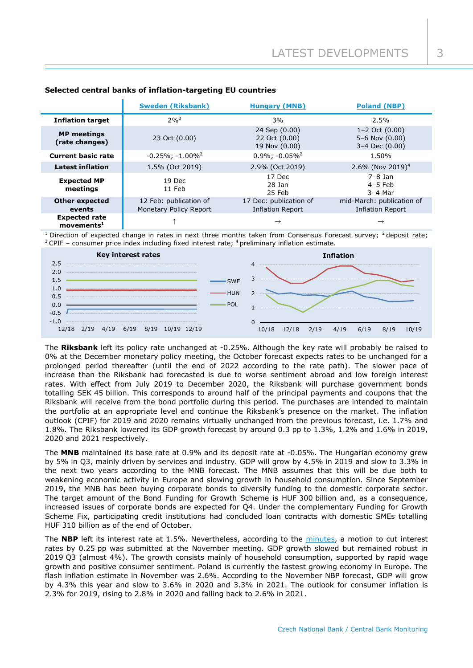|                                                   | <b>Sweden (Riksbank)</b>                         | <b>Hungary (MNB)</b>                              | <b>Poland (NBP)</b>                                        |
|---------------------------------------------------|--------------------------------------------------|---------------------------------------------------|------------------------------------------------------------|
| <b>Inflation target</b>                           | $2%^{3}$                                         | 3%                                                | 2.5%                                                       |
| <b>MP</b> meetings<br>(rate changes)              | 23 Oct (0.00)                                    | 24 Sep (0.00)<br>22 Oct (0.00)<br>19 Nov (0.00)   | $1 - 2$ Oct $(0.00)$<br>5-6 Nov $(0.00)$<br>3-4 Dec (0.00) |
| <b>Current basic rate</b>                         | $-0.25\%$ ; $-1.00\%$ <sup>2</sup>               | $0.9\%$ : $-0.05\%$ <sup>2</sup>                  | 1.50%                                                      |
| <b>Latest inflation</b>                           | 1.5% (Oct 2019)                                  | 2.9% (Oct 2019)                                   | 2.6% (Nov 2019) <sup>4</sup>                               |
| <b>Expected MP</b><br>meetings                    | 19 Dec<br>11 Feb                                 | 17 Dec<br>28 Jan<br>25 Feb                        | $7-8$ Jan<br>$4-5$ Feb<br>$3-4$ Mar                        |
| <b>Other expected</b><br>events                   | 12 Feb: publication of<br>Monetary Policy Report | 17 Dec: publication of<br><b>Inflation Report</b> | mid-March: publication of<br><b>Inflation Report</b>       |
| <b>Expected rate</b><br>$move$ ments <sup>1</sup> |                                                  | $\rightarrow$                                     |                                                            |

# **Selected central banks of inflation-targeting EU countries**

Direction of expected change in rates in next three months taken from Consensus Forecast survey;  $2$  deposit rate;  $3$  CPIF – consumer price index including fixed interest rate;  $4$  preliminary inflation estimate.



The **Riksbank** left its policy rate unchanged at -0.25%. Although the key rate will probably be raised to 0% at the December monetary policy meeting, the October forecast expects rates to be unchanged for a prolonged period thereafter (until the end of 2022 according to the rate path). The slower pace of increase than the Riksbank had forecasted is due to worse sentiment abroad and low foreign interest rates. With effect from July 2019 to December 2020, the Riksbank will purchase government bonds totalling SEK 45 billion. This corresponds to around half of the principal payments and coupons that the Riksbank will receive from the bond portfolio during this period. The purchases are intended to maintain the portfolio at an appropriate level and continue the Riksbank's presence on the market. The inflation outlook (CPIF) for 2019 and 2020 remains virtually unchanged from the previous forecast, i.e. 1.7% and 1.8%. The Riksbank lowered its GDP growth forecast by around 0.3 pp to 1.3%, 1.2% and 1.6% in 2019, 2020 and 2021 respectively.

The **MNB** maintained its base rate at 0.9% and its deposit rate at -0.05%. The Hungarian economy grew by 5% in Q3, mainly driven by services and industry. GDP will grow by 4.5% in 2019 and slow to 3.3% in the next two years according to the MNB forecast. The MNB assumes that this will be due both to weakening economic activity in Europe and slowing growth in household consumption. Since September 2019, the MNB has been buying corporate bonds to diversify funding to the domestic corporate sector. The target amount of the Bond Funding for Growth Scheme is HUF 300 billion and, as a consequence, increased issues of corporate bonds are expected for Q4. Under the complementary Funding for Growth Scheme Fix, participating credit institutions had concluded loan contracts with domestic SMEs totalling HUF 310 billion as of the end of October.

The **NBP** left its interest rate at 1.5%. Nevertheless, according to the [minutes,](https://www.nbp.pl/en/onbp/organizacja/minutes/mi_xi2019en.pdf) a motion to cut interest rates by 0.25 pp was submitted at the November meeting. GDP growth slowed but remained robust in 2019 Q3 (almost 4%). The growth consists mainly of household consumption, supported by rapid wage growth and positive consumer sentiment. Poland is currently the fastest growing economy in Europe. The flash inflation estimate in November was 2.6%. According to the November NBP forecast, GDP will grow by 4.3% this year and slow to 3.6% in 2020 and 3.3% in 2021. The outlook for consumer inflation is 2.3% for 2019, rising to 2.8% in 2020 and falling back to 2.6% in 2021.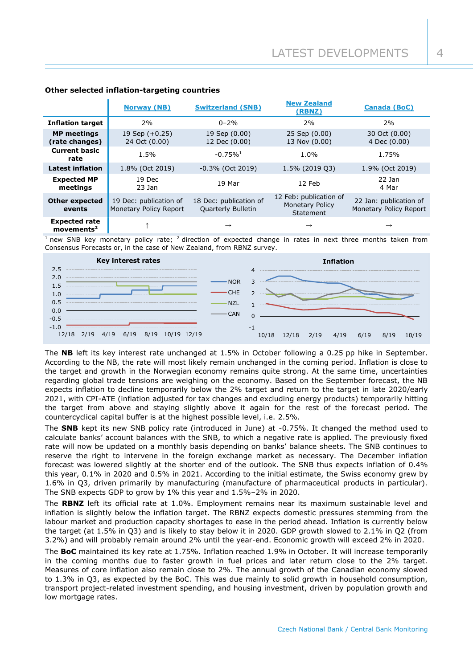|                                                       | <b>Norway (NB)</b>                                      | <b>Switzerland (SNB)</b>                            | <b>New Zealand</b><br>(RBNZ)                                  | <b>Canada (BoC)</b>                              |
|-------------------------------------------------------|---------------------------------------------------------|-----------------------------------------------------|---------------------------------------------------------------|--------------------------------------------------|
| <b>Inflation target</b>                               | 2%                                                      | $0 - 2\%$                                           | 2%                                                            | 2%                                               |
| <b>MP</b> meetings<br>(rate changes)                  | 19 Sep $(+0.25)$<br>24 Oct (0.00)                       | 19 Sep (0.00)<br>12 Dec (0.00)                      | 25 Sep (0.00)<br>13 Nov (0.00)                                | 30 Oct (0.00)<br>4 Dec (0.00)                    |
| <b>Current basic</b><br>rate                          | 1.5%                                                    | $-0.75%$ <sup>1</sup>                               | 1.0%                                                          | 1.75%                                            |
| <b>Latest inflation</b>                               | 1.8% (Oct 2019)                                         | $-0.3\%$ (Oct 2019)                                 | 1.5% (2019 Q3)                                                | 1.9% (Oct 2019)                                  |
| <b>Expected MP</b><br>meetings                        | 19 Dec<br>$23$ Jan                                      | 19 Mar                                              | 12 Feb                                                        | $22$ Jan<br>4 Mar                                |
| <b>Other expected</b><br>events                       | 19 Dec: publication of<br><b>Monetary Policy Report</b> | 18 Dec: publication of<br><b>Quarterly Bulletin</b> | 12 Feb: publication of<br><b>Monetary Policy</b><br>Statement | 22 Jan: publication of<br>Monetary Policy Report |
| <b>Expected rate</b><br>$move$ movements <sup>2</sup> |                                                         |                                                     | $\rightarrow$                                                 | $\rightarrow$                                    |

# **Other selected inflation-targeting countries**

new SNB key monetary policy rate;  $^2$  direction of expected change in rates in next three months taken from Consensus Forecasts or, in the case of New Zealand, from RBNZ survey.



The **NB** left its key interest rate unchanged at 1.5% in October following a 0.25 pp hike in September. According to the NB, the rate will most likely remain unchanged in the coming period. Inflation is close to the target and growth in the Norwegian economy remains quite strong. At the same time, uncertainties regarding global trade tensions are weighing on the economy. Based on the September forecast, the NB expects inflation to decline temporarily below the 2% target and return to the target in late 2020/early 2021, with CPI-ATE (inflation adjusted for tax changes and excluding energy products) temporarily hitting the target from above and staying slightly above it again for the rest of the forecast period. The countercyclical capital buffer is at the highest possible level, i.e. 2.5%.

The **SNB** kept its new SNB policy rate (introduced in June) at -0.75%. It changed the method used to calculate banks' account balances with the SNB, to which a negative rate is applied. The previously fixed rate will now be updated on a monthly basis depending on banks' balance sheets. The SNB continues to reserve the right to intervene in the foreign exchange market as necessary. The December inflation forecast was lowered slightly at the shorter end of the outlook. The SNB thus expects inflation of 0.4% this year, 0.1% in 2020 and 0.5% in 2021. According to the initial estimate, the Swiss economy grew by 1.6% in Q3, driven primarily by manufacturing (manufacture of pharmaceutical products in particular). The SNB expects GDP to grow by 1% this year and 1.5%–2% in 2020.

The **RBNZ** left its official rate at 1.0%. Employment remains near its maximum sustainable level and inflation is slightly below the inflation target. The RBNZ expects domestic pressures stemming from the labour market and production capacity shortages to ease in the period ahead. Inflation is currently below the target (at 1.5% in Q3) and is likely to stay below it in 2020. GDP growth slowed to 2.1% in Q2 (from 3.2%) and will probably remain around 2% until the year-end. Economic growth will exceed 2% in 2020.

The **BoC** maintained its key rate at 1.75%. Inflation reached 1.9% in October. It will increase temporarily in the coming months due to faster growth in fuel prices and later return close to the 2% target. Measures of core inflation also remain close to 2%. The annual growth of the Canadian economy slowed to 1.3% in Q3, as expected by the BoC. This was due mainly to solid growth in household consumption, transport project-related investment spending, and housing investment, driven by population growth and low mortgage rates.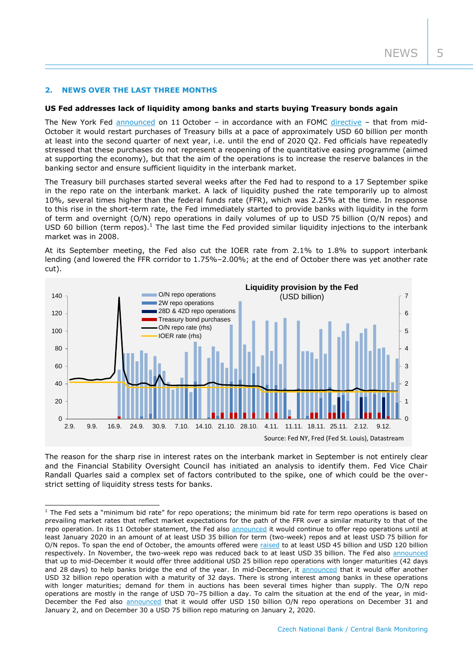# **2. NEWS OVER THE LAST THREE MONTHS**

-

## **US Fed addresses lack of liquidity among banks and starts buying Treasury bonds again**

The New York Fed [announced](https://www.newyorkfed.org/markets/opolicy/operating_policy_191011) on 11 October – in accordance with an FOMC [directive](https://www.federalreserve.gov/newsevents/pressreleases/monetary20191011a.htm) – that from mid-October it would restart purchases of Treasury bills at a pace of approximately USD 60 billion per month at least into the second quarter of next year, i.e. until the end of 2020 Q2. Fed officials have repeatedly stressed that these purchases do not represent a reopening of the quantitative easing programme (aimed at supporting the economy), but that the aim of the operations is to increase the reserve balances in the banking sector and ensure sufficient liquidity in the interbank market.

The Treasury bill purchases started several weeks after the Fed had to respond to a 17 September spike in the repo rate on the interbank market. A lack of liquidity pushed the rate temporarily up to almost 10%, several times higher than the federal funds rate (FFR), which was 2.25% at the time. In response to this rise in the short-term rate, the Fed immediately started to provide banks with liquidity in the form of term and overnight (O/N) repo operations in daily volumes of up to USD 75 billion (O/N repos) and USD 60 billion (term repos).<sup>1</sup> The last time the Fed provided similar liquidity injections to the interbank market was in 2008.

At its September meeting, the Fed also cut the IOER rate from 2.1% to 1.8% to support interbank lending (and lowered the FFR corridor to 1.75%–2.00%; at the end of October there was yet another rate cut).



The reason for the sharp rise in interest rates on the interbank market in September is not entirely clear and the Financial Stability Oversight Council has initiated an analysis to identify them. Fed Vice Chair Randall Quarles said a complex set of factors contributed to the spike, one of which could be the overstrict setting of liquidity stress tests for banks.

 $1$  The Fed sets a "minimum bid rate" for repo operations; the minimum bid rate for term repo operations is based on prevailing market rates that reflect market expectations for the path of the FFR over a similar maturity to that of the repo operation. In its 11 October statement, the Fed also [announced](https://www.newyorkfed.org/markets/opolicy/operating_policy_191011) it would continue to offer repo operations until at least January 2020 in an amount of at least USD 35 billion for term (two-week) repos and at least USD 75 billion for O/N repos. To span the end of October, the amounts offered were [raised](https://www.newyorkfed.org/markets/opolicy/operating_policy_191023) to at least USD 45 billion and USD 120 billion respectively. In November, the two-week repo was reduced back to at least USD 35 billion. The Fed also [announced](https://www.newyorkfed.org/markets/opolicy/operating_policy_191114) that up to mid-December it would offer three additional USD 25 billion repo operations with longer maturities (42 days and 28 days) to help banks bridge the end of the year. In mid-December, it [announced](https://www.newyorkfed.org/markets/opolicy/operating_policy_191212) that it would offer another USD 32 billion repo operation with a maturity of 32 days. There is strong interest among banks in these operations with longer maturities; demand for them in auctions has been several times higher than supply. The O/N repo operations are mostly in the range of USD 70–75 billion a day. To calm the situation at the end of the year, in midDecember the Fed also [announced](https://www.newyorkfed.org/markets/opolicy/operating_policy_191212) that it would offer USD 150 billion O/N repo operations on December 31 and January 2, and on December 30 a USD 75 billion repo maturing on January 2, 2020.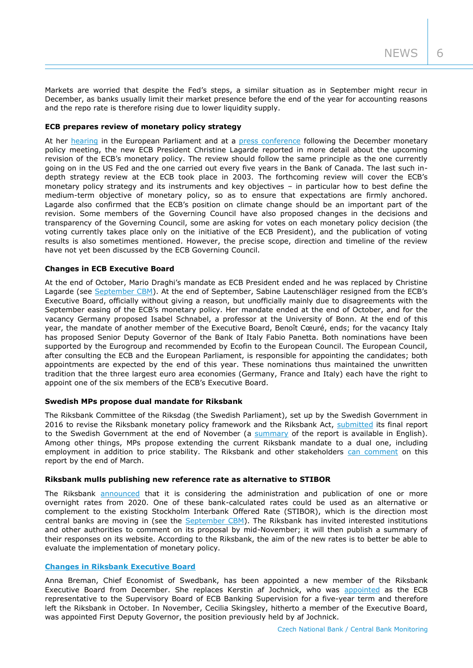Markets are worried that despite the Fed's steps, a similar situation as in September might recur in December, as banks usually limit their market presence before the end of the year for accounting reasons and the repo rate is therefore rising due to lower liquidity supply.

# **ECB prepares review of monetary policy strategy**

At her [hearing](https://www.ecb.europa.eu/press/key/date/2019/html/ecb.sp191202~8d8d9feef5.en.html) in the European Parliament and at a [press conference](https://www.ecb.europa.eu/press/pressconf/2019/html/ecb.is191212~c9e1a6ab3e.en.html) following the December monetary policy meeting, the new ECB President Christine Lagarde reported in more detail about the upcoming revision of the ECB's monetary policy. The review should follow the same principle as the one currently going on in the US Fed and the one carried out every five years in the Bank of Canada. The last such indepth strategy review at the ECB took place in 2003. The forthcoming review will cover the ECB's monetary policy strategy and its instruments and key objectives – in particular how to best define the medium-term objective of monetary policy, so as to ensure that expectations are firmly anchored. Lagarde also confirmed that the ECB's position on climate change should be an important part of the revision. Some members of the Governing Council have also proposed changes in the decisions and transparency of the Governing Council, some are asking for votes on each monetary policy decision (the voting currently takes place only on the initiative of the ECB President), and the publication of voting results is also sometimes mentioned. However, the precise scope, direction and timeline of the review have not yet been discussed by the ECB Governing Council.

#### **Changes in ECB Executive Board**

At the end of October, Mario Draghi's mandate as ECB President ended and he was replaced by Christine Lagarde (see [September CBM](https://www.cnb.cz/export/sites/cnb/en/monetary-policy/.galleries/monitoring/1903_cbm.pdf)). At the end of September, Sabine Lautenschläger resigned from the ECB's Executive Board, officially without giving a reason, but unofficially mainly due to disagreements with the September easing of the ECB's monetary policy. Her mandate ended at the end of October, and for the vacancy Germany proposed Isabel Schnabel, a professor at the University of Bonn. At the end of this year, the mandate of another member of the Executive Board, Benoît Cœuré, ends; for the vacancy Italy has proposed Senior Deputy Governor of the Bank of Italy Fabio Panetta. Both nominations have been supported by the Eurogroup and recommended by Ecofin to the European Council. The European Council, after consulting the ECB and the European Parliament, is responsible for appointing the candidates; both appointments are expected by the end of this year. These nominations thus maintained the unwritten tradition that the three largest euro area economies (Germany, France and Italy) each have the right to appoint one of the six members of the ECB's Executive Board.

#### **Swedish MPs propose dual mandate for Riksbank**

The Riksbank Committee of the Riksdag (the Swedish Parliament), set up by the Swedish Government in 2016 to revise the Riksbank monetary policy framework and the Riksbank Act, [submitted](https://www.government.se/legal-documents/2019/11/the-riksbank-committees-proposal-for-a-new-riksbank-act-summary/) its final report to the Swedish Government at the end of November (a [summary](https://www.government.se/legal-documents/2019/11/the-riksbank-committees-proposal-for-a-new-riksbank-act-summary/) of the report is available in English). Among other things, MPs propose extending the current Riksbank mandate to a dual one, including employment in addition to price stability. The Riksbank and other stakeholders [can comment](https://www.riksbank.se/en-gb/press-and-published/notices-and-press-releases/notices/2019/proposed-new-sveriges-riksbank-act/) on this report by the end of March.

#### **Riksbank mulls publishing new reference rate as alternative to STIBOR**

The Riksbank [announced](https://www.riksbank.se/en-gb/press-and-published/notices-and-press-releases/notices/2019/the-riksbank-is-considering-publishing-a-reference-rate/) that it is considering the administration and publication of one or more overnight rates from 2020. One of these bank-calculated rates could be used as an alternative or complement to the existing Stockholm Interbank Offered Rate (STIBOR), which is the direction most central banks are moving in (see the [September CBM\)](https://www.cnb.cz/export/sites/cnb/en/monetary-policy/.galleries/monitoring/1903_cbm.pdf). The Riksbank has invited interested institutions and other authorities to comment on its proposal by mid-November; it will then publish a summary of their responses on its website. According to the Riksbank, the aim of the new rates is to better be able to evaluate the implementation of monetary policy.

## **[Changes in Riksbank Executive Board](https://www.riksbank.se/en-gb/press-and-published/notices-and-press-releases/press-releases/2019/anna-breman-new-deputy-governor-of-the-riksbank/)**

Anna Breman, Chief Economist of Swedbank, has been appointed a new member of the Riksbank Executive Board from December. She replaces Kerstin af Jochnick, who was [appointed](https://www.ecb.europa.eu/press/pr/date/2019/html/ecb.pr190711_1~bd8c1caaf3.en.html) as the ECB representative to the Supervisory Board of ECB Banking Supervision for a five-year term and therefore left the Riksbank in October. In November, Cecilia Skingsley, hitherto a member of the Executive Board, was appointed First Deputy Governor, the position previously held by af Jochnick.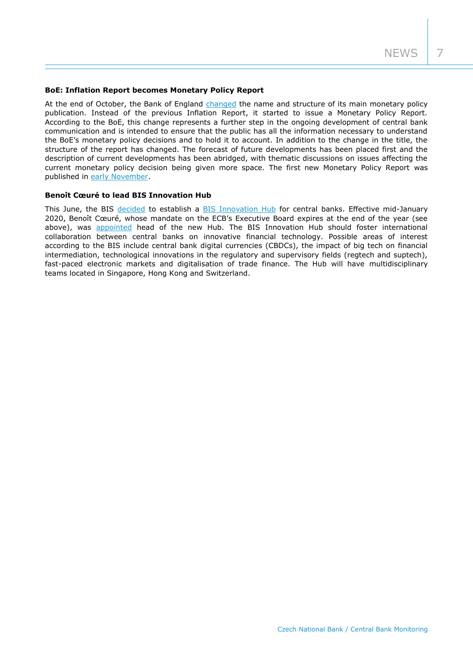## **BoE: Inflation Report becomes Monetary Policy Report**

At the end of October, the Bank of England [changed](https://www.bankofengland.co.uk/news/2019/october/inflation-report-to-become-monetary-policy-report) the name and structure of its main monetary policy publication. Instead of the previous Inflation Report, it started to issue a Monetary Policy Report. According to the BoE, this change represents a further step in the ongoing development of central bank communication and is intended to ensure that the public has all the information necessary to understand the BoE's monetary policy decisions and to hold it to account. In addition to the change in the title, the structure of the report has changed. The forecast of future developments has been placed first and the description of current developments has been abridged, with thematic discussions on issues affecting the current monetary policy decision being given more space. The first new Monetary Policy Report was published in [early November.](https://www.bankofengland.co.uk/monetary-policy-report/2019/november-2019)

## **Benoît Cœuré to lead BIS Innovation Hub**

This June, the BIS [decided](https://www.bis.org/press/p190630a.htm) to establish a [BIS Innovation Hub](https://www.bis.org/topic/fintech/hub.htm) for central banks. Effective mid-January 2020, Benoît Cœuré, whose mandate on the ECB's Executive Board expires at the end of the year (see above), was [appointed](https://www.bis.org/press/p191111.htm) head of the new Hub. The BIS Innovation Hub should foster international collaboration between central banks on innovative financial technology. Possible areas of interest according to the BIS include central bank digital currencies (CBDCs), the impact of big tech on financial intermediation, technological innovations in the regulatory and supervisory fields (regtech and suptech), fast-paced electronic markets and digitalisation of trade finance. The Hub will have multidisciplinary teams located in Singapore, Hong Kong and Switzerland.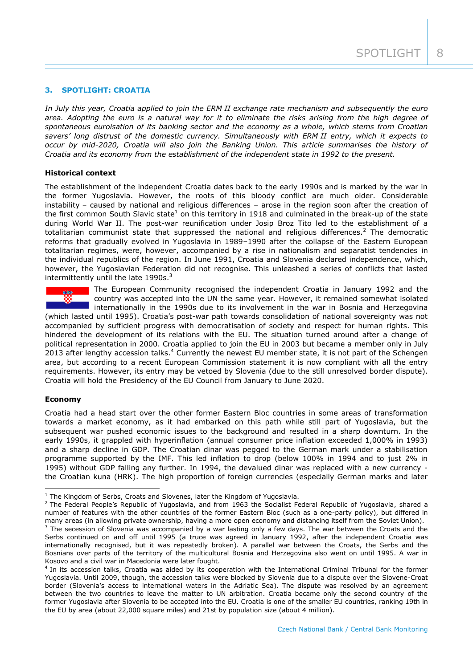# **3. SPOTLIGHT: CROATIA**

*In July this year, Croatia applied to join the ERM II exchange rate mechanism and subsequently the euro area. Adopting the euro is a natural way for it to eliminate the risks arising from the high degree of spontaneous euroisation of its banking sector and the economy as a whole, which stems from Croatian savers' long distrust of the domestic currency. Simultaneously with ERM II entry, which it expects to occur by mid-2020, Croatia will also join the Banking Union. This article summarises the history of Croatia and its economy from the establishment of the independent state in 1992 to the present.*

## **Historical context**

The establishment of the independent Croatia dates back to the early 1990s and is marked by the war in the former Yugoslavia. However, the roots of this bloody conflict are much older. Considerable instability – caused by national and religious differences – arose in the region soon after the creation of the first common South Slavic state<sup>1</sup> on this territory in 1918 and culminated in the break-up of the state during World War II. The post-war reunification under Josip Broz Tito led to the establishment of a totalitarian communist state that suppressed the national and religious differences.<sup>2</sup> The democratic reforms that gradually evolved in Yugoslavia in 1989–1990 after the collapse of the Eastern European totalitarian regimes, were, however, accompanied by a rise in nationalism and separatist tendencies in the individual republics of the region. In June 1991, Croatia and Slovenia declared independence, which, however, the Yugoslavian Federation did not recognise. This unleashed a series of conflicts that lasted intermittently until the late  $1990s.<sup>3</sup>$ 



The European Community recognised the independent Croatia in January 1992 and the country was accepted into the UN the same year. However, it remained somewhat isolated internationally in the 1990s due to its involvement in the war in Bosnia and Herzegovina

(which lasted until 1995). Croatia's post-war path towards consolidation of national sovereignty was not accompanied by sufficient progress with democratisation of society and respect for human rights. This hindered the development of its relations with the EU. The situation turned around after a change of political representation in 2000. Croatia applied to join the EU in 2003 but became a member only in July 2013 after lengthy accession talks.<sup>4</sup> Currently the newest EU member state, it is not part of the Schengen area, but according to a recent European Commission statement it is now compliant with all the entry requirements. However, its entry may be vetoed by Slovenia (due to the still unresolved border dispute). Croatia will hold the Presidency of the EU Council from January to June 2020.

## **Economy**

-

Croatia had a head start over the other former Eastern Bloc countries in some areas of transformation towards a market economy, as it had embarked on this path while still part of Yugoslavia, but the subsequent war pushed economic issues to the background and resulted in a sharp downturn. In the early 1990s, it grappled with hyperinflation (annual consumer price inflation exceeded 1,000% in 1993) and a sharp decline in GDP. The Croatian dinar was pegged to the German mark under a stabilisation programme supported by the IMF. This led inflation to drop (below 100% in 1994 and to just 2% in 1995) without GDP falling any further. In 1994, the devalued dinar was replaced with a new currency the Croatian kuna (HRK). The high proportion of foreign currencies (especially German marks and later

 $1$  The Kingdom of Serbs, Croats and Slovenes, later the Kingdom of Yugoslavia.

<sup>&</sup>lt;sup>2</sup> The Federal People's Republic of Yugoslavia, and from 1963 the Socialist Federal Republic of Yugoslavia, shared a number of features with the other countries of the former Eastern Bloc (such as a one-party policy), but differed in many areas (in allowing private ownership, having a more open economy and distancing itself from the Soviet Union).

 $3$  The secession of Slovenia was accompanied by a war lasting only a few days. The war between the Croats and the Serbs continued on and off until 1995 (a truce was agreed in January 1992, after the independent Croatia was internationally recognised, but it was repeatedly broken). A parallel war between the Croats, the Serbs and the Bosnians over parts of the territory of the multicultural Bosnia and Herzegovina also went on until 1995. A war in Kosovo and a civil war in Macedonia were later fought.

<sup>&</sup>lt;sup>4</sup> In its accession talks, Croatia was aided by its cooperation with the International Criminal Tribunal for the former Yugoslavia. Until 2009, though, the accession talks were blocked by Slovenia due to a dispute over the Slovene-Croat border (Slovenia's access to international waters in the Adriatic Sea). The dispute was resolved by an agreement between the two countries to leave the matter to UN arbitration. Croatia became only the second country of the former Yugoslavia after Slovenia to be accepted into the EU. Croatia is one of the smaller EU countries, ranking 19th in the EU by area (about 22,000 square miles) and 21st by population size (about 4 million).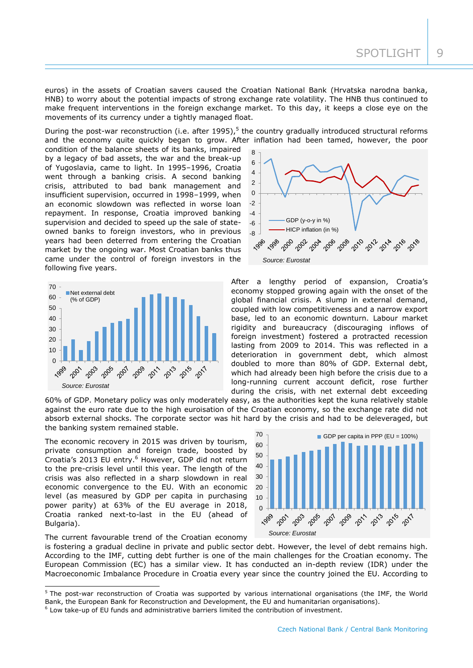euros) in the assets of Croatian savers caused the Croatian National Bank (Hrvatska narodna banka, HNB) to worry about the potential impacts of strong exchange rate volatility. The HNB thus continued to make frequent interventions in the foreign exchange market. To this day, it keeps a close eye on the movements of its currency under a tightly managed float.

During the post-war reconstruction (i.e. after 1995),<sup>5</sup> the country gradually introduced structural reforms and the economy quite quickly began to grow. After inflation had been tamed, however, the poor

condition of the balance sheets of its banks, impaired by a legacy of bad assets, the war and the break-up of Yugoslavia, came to light. In 1995–1996, Croatia went through a banking crisis. A second banking crisis, attributed to bad bank management and insufficient supervision, occurred in 1998–1999, when an economic slowdown was reflected in worse loan repayment. In response, Croatia improved banking supervision and decided to speed up the sale of stateowned banks to foreign investors, who in previous years had been deterred from entering the Croatian market by the ongoing war. Most Croatian banks thus came under the control of foreign investors in the following five years.





After a lengthy period of expansion, Croatia's economy stopped growing again with the onset of the global financial crisis. A slump in external demand, coupled with low competitiveness and a narrow export base, led to an economic downturn. Labour market rigidity and bureaucracy (discouraging inflows of foreign investment) fostered a protracted recession lasting from 2009 to 2014. This was reflected in a deterioration in government debt, which almost doubled to more than 80% of GDP. External debt, which had already been high before the crisis due to a long-running current account deficit, rose further during the crisis, with net external debt exceeding

60% of GDP. Monetary policy was only moderately easy, as the authorities kept the kuna relatively stable against the euro rate due to the high euroisation of the Croatian economy, so the exchange rate did not absorb external shocks. The corporate sector was hit hard by the crisis and had to be deleveraged, but the banking system remained stable.

The economic recovery in 2015 was driven by tourism, private consumption and foreign trade, boosted by Croatia's 2013 EU entry.<sup>6</sup> However, GDP did not return to the pre-crisis level until this year. The length of the crisis was also reflected in a sharp slowdown in real economic convergence to the EU. With an economic level (as measured by GDP per capita in purchasing power parity) at 63% of the EU average in 2018, Croatia ranked next-to-last in the EU (ahead of Bulgaria).



The current favourable trend of the Croatian economy

-

is fostering a gradual decline in private and public sector debt. However, the level of debt remains high. According to the IMF, cutting debt further is one of the main challenges for the Croatian economy. The European Commission (EC) has a similar view. It has conducted an in-depth review (IDR) under the Macroeconomic Imbalance Procedure in Croatia every year since the country joined the EU. According to

<sup>&</sup>lt;sup>5</sup> The post-war reconstruction of Croatia was supported by various international organisations (the IMF, the World Bank, the European Bank for Reconstruction and Development, the EU and humanitarian organisations).

<sup>&</sup>lt;sup>6</sup> Low take-up of EU funds and administrative barriers limited the contribution of investment.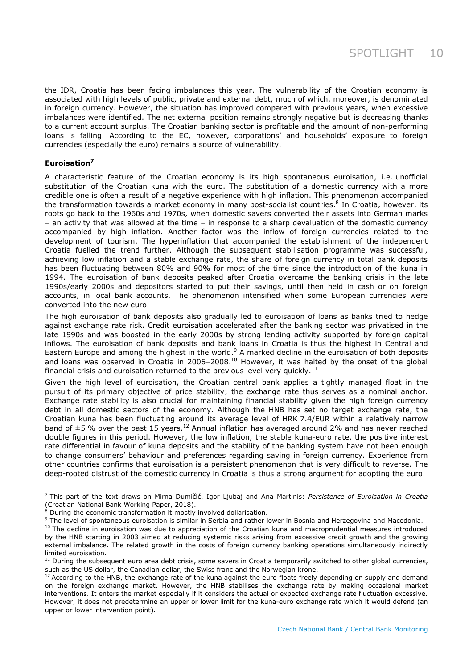the IDR, Croatia has been facing imbalances this year. The vulnerability of the Croatian economy is associated with high levels of public, private and external debt, much of which, moreover, is denominated in foreign currency. However, the situation has improved compared with previous years, when excessive imbalances were identified. The net external position remains strongly negative but is decreasing thanks to a current account surplus. The Croatian banking sector is profitable and the amount of non-performing loans is falling. According to the EC, however, corporations' and households' exposure to foreign currencies (especially the euro) remains a source of vulnerability.

# **Euroisation<sup>7</sup>**

-

A characteristic feature of the Croatian economy is its high spontaneous euroisation, i.e. unofficial substitution of the Croatian kuna with the euro. The substitution of a domestic currency with a more credible one is often a result of a negative experience with high inflation. This phenomenon accompanied the transformation towards a market economy in many post-socialist countries.<sup>8</sup> In Croatia, however, its roots go back to the 1960s and 1970s, when domestic savers converted their assets into German marks – an activity that was allowed at the time – in response to a sharp devaluation of the domestic currency accompanied by high inflation. Another factor was the inflow of foreign currencies related to the development of tourism. The hyperinflation that accompanied the establishment of the independent Croatia fuelled the trend further. Although the subsequent stabilisation programme was successful, achieving low inflation and a stable exchange rate, the share of foreign currency in total bank deposits has been fluctuating between 80% and 90% for most of the time since the introduction of the kuna in 1994. The euroisation of bank deposits peaked after Croatia overcame the banking crisis in the late 1990s/early 2000s and depositors started to put their savings, until then held in cash or on foreign accounts, in local bank accounts. The phenomenon intensified when some European currencies were converted into the new euro.

The high euroisation of bank deposits also gradually led to euroisation of loans as banks tried to hedge against exchange rate risk. Credit euroisation accelerated after the banking sector was privatised in the late 1990s and was boosted in the early 2000s by strong lending activity supported by foreign capital inflows. The euroisation of bank deposits and bank loans in Croatia is thus the highest in Central and Eastern Europe and among the highest in the world.<sup>9</sup> A marked decline in the euroisation of both deposits and loans was observed in Croatia in 2006–2008.<sup>10</sup> However, it was halted by the onset of the global financial crisis and euroisation returned to the previous level very quickly.<sup>11</sup>

Given the high level of euroisation, the Croatian central bank applies a tightly managed float in the pursuit of its primary objective of price stability; the exchange rate thus serves as a nominal anchor. Exchange rate stability is also crucial for maintaining financial stability given the high foreign currency debt in all domestic sectors of the economy. Although the HNB has set no target exchange rate, the Croatian kuna has been fluctuating around its average level of HRK 7.4/EUR within a relatively narrow band of  $\pm 5$  % over the past 15 years.<sup>12</sup> Annual inflation has averaged around 2% and has never reached double figures in this period. However, the low inflation, the stable kuna-euro rate, the positive interest rate differential in favour of kuna deposits and the stability of the banking system have not been enough to change consumers' behaviour and preferences regarding saving in foreign currency. Experience from other countries confirms that euroisation is a persistent phenomenon that is very difficult to reverse. The deep-rooted distrust of the domestic currency in Croatia is thus a strong argument for adopting the euro.

<sup>9</sup> The level of spontaneous euroisation is similar in Serbia and rather lower in Bosnia and Herzegovina and Macedonia.

<sup>7</sup> This part of the text draws on Mirna Dumičić, Igor Ljubaj and Ana Martinis: *Persistence of Euroisation in Croatia* (Croatian National Bank Working Paper, 2018).

During the economic transformation it mostly involved dollarisation.

<sup>&</sup>lt;sup>10</sup> The decline in euroisation was due to appreciation of the Croatian kuna and macroprudential measures introduced by the HNB starting in 2003 aimed at reducing systemic risks arising from excessive credit growth and the growing external imbalance. The related growth in the costs of foreign currency banking operations simultaneously indirectly limited euroisation.

 $11$  During the subsequent euro area debt crisis, some savers in Croatia temporarily switched to other global currencies, such as the US dollar, the Canadian dollar, the Swiss franc and the Norwegian krone.

 $12$  According to the HNB, the exchange rate of the kuna against the euro floats freely depending on supply and demand on the foreign exchange market. However, the HNB stabilises the exchange rate by making occasional market interventions. It enters the market especially if it considers the actual or expected exchange rate fluctuation excessive. However, it does not predetermine an upper or lower limit for the kuna-euro exchange rate which it would defend (an upper or lower intervention point).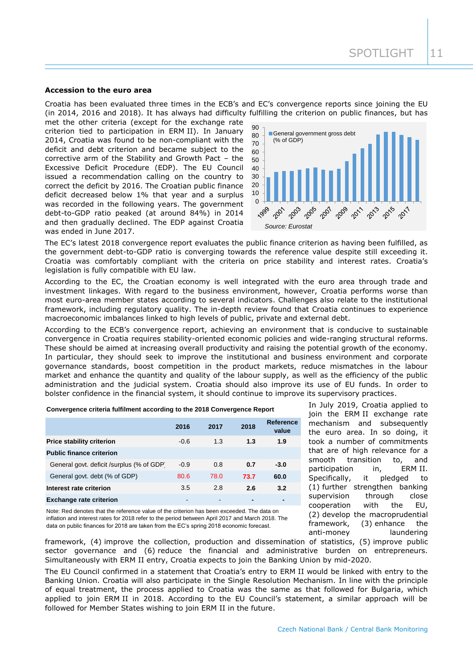## **Accession to the euro area**

Croatia has been evaluated three times in the ECB's and EC's convergence reports since joining the EU (in 2014, 2016 and 2018). It has always had difficulty fulfilling the criterion on public finances, but has

met the other criteria (except for the exchange rate criterion tied to participation in ERM II). In January 2014, Croatia was found to be non-compliant with the deficit and debt criterion and became subject to the corrective arm of the Stability and Growth Pact – the Excessive Deficit Procedure (EDP). The EU Council issued a recommendation calling on the country to correct the deficit by 2016. The Croatian public finance deficit decreased below 1% that year and a surplus was recorded in the following years. The government debt-to-GDP ratio peaked (at around 84%) in 2014 and then gradually declined. The EDP against Croatia was ended in June 2017.



The EC's latest 2018 convergence report evaluates the public finance criterion as having been fulfilled, as the government debt-to-GDP ratio is converging towards the reference value despite still exceeding it. Croatia was comfortably compliant with the criteria on price stability and interest rates. Croatia's legislation is fully compatible with EU law.

According to the EC, the Croatian economy is well integrated with the euro area through trade and investment linkages. With regard to the business environment, however, Croatia performs worse than most euro-area member states according to several indicators. Challenges also relate to the institutional framework, including regulatory quality. The in-depth review found that Croatia continues to experience macroeconomic imbalances linked to high levels of public, private and external debt.

According to the ECB's convergence report, achieving an environment that is conducive to sustainable convergence in Croatia requires stability-oriented economic policies and wide-ranging structural reforms. These should be aimed at increasing overall productivity and raising the potential growth of the economy. In particular, they should seek to improve the institutional and business environment and corporate governance standards, boost competition in the product markets, reduce mismatches in the labour market and enhance the quantity and quality of the labour supply, as well as the efficiency of the public administration and the judicial system. Croatia should also improve its use of EU funds. In order to bolster confidence in the financial system, it should continue to improve its supervisory practices.

**Convergence criteria fulfilment according to the 2018 Convergence Report**

|                                           | 2016   | 2017 | 2018 | <b>Reference</b><br>value |
|-------------------------------------------|--------|------|------|---------------------------|
| <b>Price stability criterion</b>          | $-0.6$ | 1.3  | 1.3  | 1.9                       |
| <b>Public finance criterion</b>           |        |      |      |                           |
| General govt. deficit /surplus (% of GDP) | $-0.9$ | 0.8  | 0.7  | $-3.0$                    |
| General govt. debt (% of GDP)             | 80.6   | 78.0 | 73.7 | 60.0                      |
| Interest rate criterion                   | 3.5    | 2.8  | 2.6  | 3.2                       |
| <b>Exchange rate criterion</b>            | ۰      | -    | -    | $\blacksquare$            |

Note: Red denotes that the reference value of the criterion has been exceeded. The data on inflation and interest rates for 2018 refer to the period between April 2017 and March 2018. The data on public finances for 2018 are taken from the EC's spring 2018 economic forecast.

In July 2019, Croatia applied to join the ERM II exchange rate mechanism and subsequently the euro area. In so doing, it took a number of commitments that are of high relevance for a smooth transition to, and participation in, ERM II. Specifically, it pledged to (1) further strengthen banking supervision through close cooperation with the EU, (2) develop the macroprudential framework, (3) enhance the anti-money laundering

framework, (4) improve the collection, production and dissemination of statistics, (5) improve public sector governance and (6) reduce the financial and administrative burden on entrepreneurs. Simultaneously with ERM II entry, Croatia expects to join the Banking Union by mid-2020.

The EU Council confirmed in a statement that Croatia's entry to ERM II would be linked with entry to the Banking Union. Croatia will also participate in the Single Resolution Mechanism. In line with the principle of equal treatment, the process applied to Croatia was the same as that followed for Bulgaria, which applied to join ERM II in 2018. According to the EU Council's statement, a similar approach will be followed for Member States wishing to join ERM II in the future.